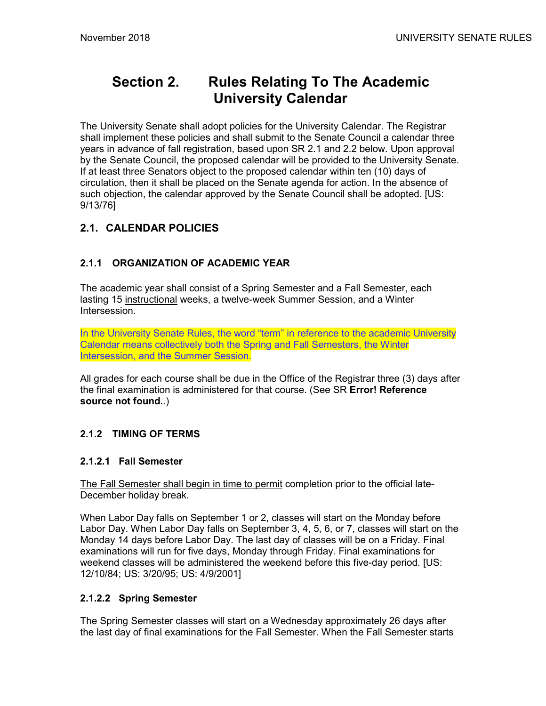# **Section 2. Rules Relating To The Academic University Calendar**

The University Senate shall adopt policies for the University Calendar. The Registrar shall implement these policies and shall submit to the Senate Council a calendar three years in advance of fall registration, based upon SR 2.1 and 2.2 below. Upon approval by the Senate Council, the proposed calendar will be provided to the University Senate. If at least three Senators object to the proposed calendar within ten (10) days of circulation, then it shall be placed on the Senate agenda for action. In the absence of such objection, the calendar approved by the Senate Council shall be adopted. [US: 9/13/76]

## **2.1. CALENDAR POLICIES**

## **2.1.1 ORGANIZATION OF ACADEMIC YEAR**

The academic year shall consist of a Spring Semester and a Fall Semester, each lasting 15 instructional weeks, a twelve-week Summer Session, and a Winter Intersession.

In the University Senate Rules, the word "term" in reference to the academic University Calendar means collectively both the Spring and Fall Semesters, the Winter Intersession, and the Summer Session.

All grades for each course shall be due in the Office of the Registrar three (3) days after the final examination is administered for that course. (See SR **Error! Reference source not found.**.)

## **2.1.2 TIMING OF TERMS**

#### **2.1.2.1 Fall Semester**

The Fall Semester shall begin in time to permit completion prior to the official late-December holiday break.

When Labor Day falls on September 1 or 2, classes will start on the Monday before Labor Day. When Labor Day falls on September 3, 4, 5, 6, or 7, classes will start on the Monday 14 days before Labor Day. The last day of classes will be on a Friday. Final examinations will run for five days, Monday through Friday. Final examinations for weekend classes will be administered the weekend before this five-day period. [US: 12/10/84; US: 3/20/95; US: 4/9/2001]

#### **2.1.2.2 Spring Semester**

The Spring Semester classes will start on a Wednesday approximately 26 days after the last day of final examinations for the Fall Semester. When the Fall Semester starts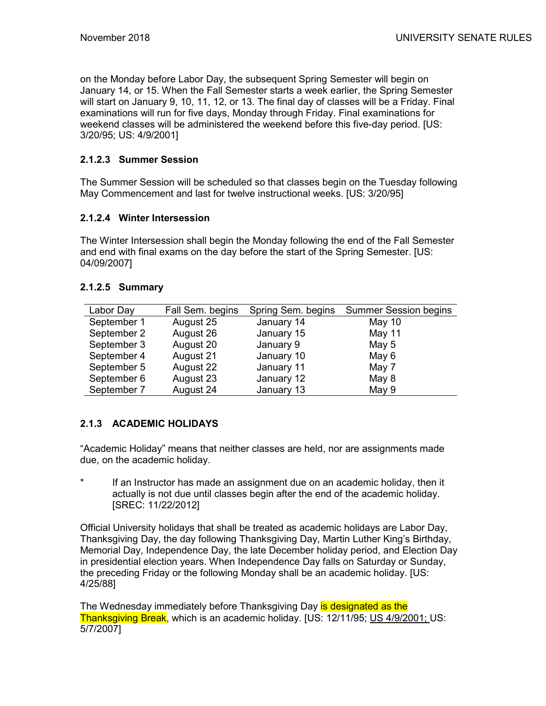on the Monday before Labor Day, the subsequent Spring Semester will begin on January 14, or 15. When the Fall Semester starts a week earlier, the Spring Semester will start on January 9, 10, 11, 12, or 13. The final day of classes will be a Friday. Final examinations will run for five days, Monday through Friday. Final examinations for weekend classes will be administered the weekend before this five-day period. [US: 3/20/95; US: 4/9/2001]

#### **2.1.2.3 Summer Session**

The Summer Session will be scheduled so that classes begin on the Tuesday following May Commencement and last for twelve instructional weeks. [US: 3/20/95]

#### **2.1.2.4 Winter Intersession**

The Winter Intersession shall begin the Monday following the end of the Fall Semester and end with final exams on the day before the start of the Spring Semester. [US: 04/09/2007]

#### **2.1.2.5 Summary**

| Labor Day   | Fall Sem. begins | Spring Sem. begins | <b>Summer Session begins</b> |
|-------------|------------------|--------------------|------------------------------|
| September 1 | August 25        | January 14         | May 10                       |
| September 2 | August 26        | January 15         | May 11                       |
| September 3 | August 20        | January 9          | May 5                        |
| September 4 | August 21        | January 10         | May 6                        |
| September 5 | August 22        | January 11         | May 7                        |
| September 6 | August 23        | January 12         | May 8                        |
| September 7 | August 24        | January 13         | May 9                        |

#### **2.1.3 ACADEMIC HOLIDAYS**

"Academic Holiday" means that neither classes are held, nor are assignments made due, on the academic holiday.

\* If an Instructor has made an assignment due on an academic holiday, then it actually is not due until classes begin after the end of the academic holiday. [SREC: 11/22/2012]

Official University holidays that shall be treated as academic holidays are Labor Day, Thanksgiving Day, the day following Thanksgiving Day, Martin Luther King's Birthday, Memorial Day, Independence Day, the late December holiday period, and Election Day in presidential election years. When Independence Day falls on Saturday or Sunday, the preceding Friday or the following Monday shall be an academic holiday. [US: 4/25/88]

The Wednesday immediately before Thanksgiving Day is designated as the Thanksgiving Break, which is an academic holiday. [US: 12/11/95; US 4/9/2001; US: 5/7/2007]